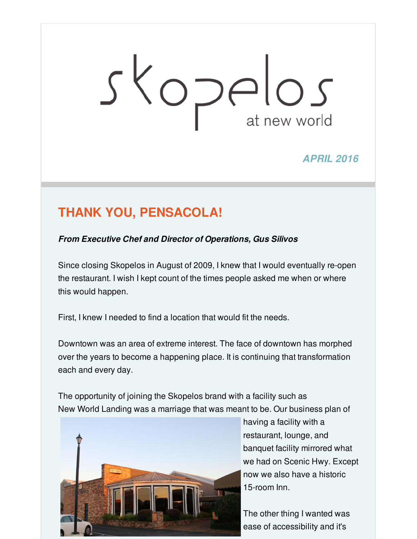# Skopelos

*APRIL 2016*

# **THANK YOU, PENSACOLA!**

*From Executive Chef and Director of Operations, Gus Silivos*

Since closing Skopelos in August of 2009, I knew that I would eventually re-open the restaurant. I wish I kept count of the times people asked me when or where this would happen.

First, I knew I needed to find a location that would fit the needs.

Downtown was an area of extreme interest. The face of downtown has morphed over the years to become a happening place. It is continuing that transformation each and every day.

The opportunity of joining the Skopelos brand with a facility such as New World Landing was a marriage that was meant to be. Our business plan of



having a facility with a restaurant, lounge, and banquet facility mirrored what we had on Scenic Hwy. Except now we also have a historic 15-room Inn.

The other thing I wanted was ease of accessibility and it's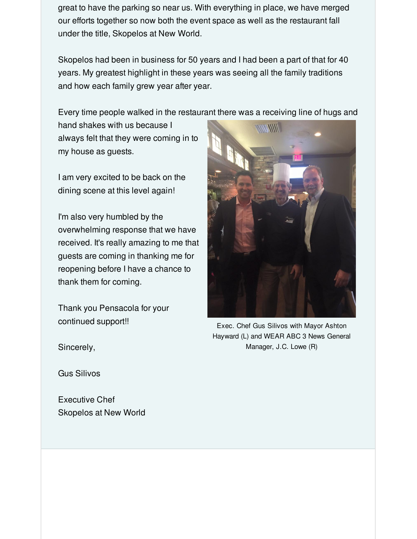great to have the parking so near us. With everything in place, we have merged our efforts together so now both the event space as well as the restaurant fall under the title, Skopelos at New World.

Skopelos had been in business for 50 years and I had been a part of that for 40 years. My greatest highlight in these years was seeing all the family traditions and how each family grew year after year.

Every time people walked in the restaurant there was a receiving line of hugs and

hand shakes with us because I always felt that they were coming in to my house as guests.

I am very excited to be back on the dining scene at this level again!

I'm also very humbled by the overwhelming response that we have received. It's really amazing to me that guests are coming in thanking me for reopening before I have a chance to thank them for coming.

Thank you Pensacola for your continued support!!



Exec. Chef Gus Silivos with Mayor Ashton Hayward (L) and WEAR ABC 3 News General Manager, J.C. Lowe (R)

Sincerely,

Gus Silivos

Executive Chef Skopelos at New World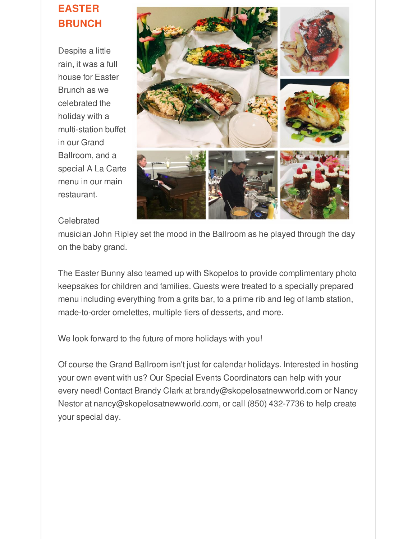#### **EASTER BRUNCH**

Despite a little rain, it was a full house for Easter Brunch as we celebrated the holiday with a multi-station buffet in our Grand Ballroom, and a special A La Carte menu in our main restaurant.



#### **Celebrated**

musician John Ripley set the mood in the Ballroom as he played through the day on the baby grand.

The Easter Bunny also teamed up with Skopelos to provide complimentary photo keepsakes for children and families. Guests were treated to a specially prepared menu including everything from a grits bar, to a prime rib and leg of lamb station, made-to-order omelettes, multiple tiers of desserts, and more.

We look forward to the future of more holidays with you!

Of course the Grand Ballroom isn't just for calendar holidays. Interested in hosting your own event with us? Our Special Events Coordinators can help with your every need! Contact Brandy Clark at brandy@skopelosatnewworld.com or Nancy Nestor at nancy@skopelosatnewworld.com, or call (850) 432-7736 to help create your special day.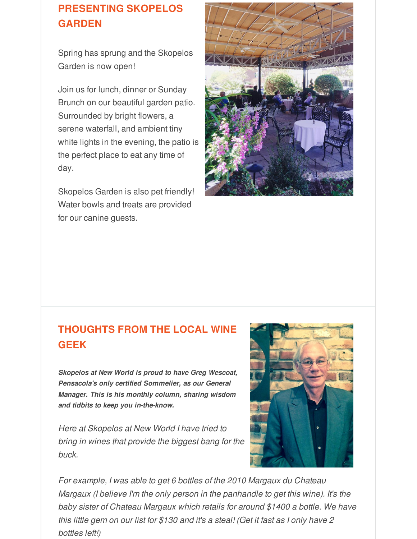### **PRESENTING SKOPELOS GARDEN**

Spring has sprung and the Skopelos Garden is now open!

Join us for lunch, dinner or Sunday Brunch on our beautiful garden patio. Surrounded by bright flowers, a serene waterfall, and ambient tiny white lights in the evening, the patio is the perfect place to eat any time of day.

Skopelos Garden is also pet friendly! Water bowls and treats are provided for our canine guests.



#### **THOUGHTS FROM THE LOCAL WINE GEEK**

*Skopelos at New World is proud to have Greg Wescoat, Pensacola's only certified Sommelier, as our General Manager. This is his monthly column, sharing wisdom and tidbits to keep you in-the-know.*

*Here at Skopelos at New World I have tried to bring in wines that provide the biggest bang for the buck.*



*For example, I was able to get 6 bottles of the 2010 Margaux du Chateau Margaux (I believe I'm the only person in the panhandle to get this wine). It's the baby sister of Chateau Margaux which retails for around \$1400 a bottle. We have this little gem on our list for \$130 and it's a steal! (Get it fast as I only have 2 bottles left!)*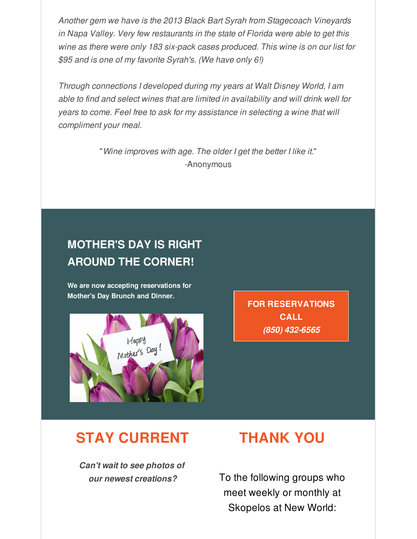*Another gem we have is the 2013 Black Bart Syrah from Stagecoach Vineyards in Napa Valley. Very few restaurants in the state of Florida were able to get this wine as there were only 183 six-pack cases produced. This wine is on our list for \$95 and is one of my favorite Syrah's. (We have only 6!)*

*Through connections I developed during my years at Walt Disney World, I am able to find and select wines that are limited in availability and will drink well for years to come. Feel free to ask for my assistance in selecting a wine that will compliment your meal.*

> "*Wine improves with age. The older I get the better I like it.*" -Anonymous

# **MOTHER'S DAY IS RIGHT AROUND THE CORNER!**

**We are now accepting reservations for Mother's Day Brunch and Dinner.**



**FOR RESERVATIONS CALL** *(850) 432-6565*

# **STAY CURRENT**

*Can't wait to see photos of our newest creations?*

# **THANK YOU**

To the following groups who meet weekly or monthly at Skopelos at New World: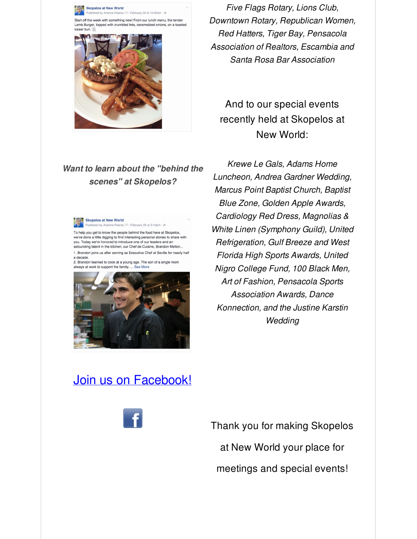

*Want to learn about the "behind the scenes" at Skopelos?*



To help you get to know the people behind the food here at Skopelos, we've done a little digging to find interesting personal stories to share with you. Today we're honored to introduce one of our leaders and an astounding talent in the kitchen, our Chef de Cuisine, Brandon Melton. 1. Brandon joins us after serving as Executive Chef at Seville for nearly half

a decade. 2. Brandon learned to cook at a young age. The son of a single mom always at work to support the family, ... See More



*Five Flags Rotary, Lions Club, Downtown Rotary, Republican Women, Red Hatters, Tiger Bay, Pensacola Association of Realtors, Escambia and Santa Rosa Bar Association*

### And to our special events recently held at Skopelos at New World:

*Krewe Le Gals, Adams Home Luncheon, Andrea Gardner Wedding, Marcus Point Baptist Church, Baptist Blue Zone, Golden Apple Awards, Cardiology Red Dress, Magnolias & White Linen (Symphony Guild), United Refrigeration, Gulf Breeze and West Florida High Sports Awards, United Nigro College Fund, 100 Black Men, Art of Fashion, Pensacola Sports Association Awards, Dance Konnection, and the Justine Karstin Wedding*

## Join us on [Facebook!](http://r20.rs6.net/tn.jsp?f=001y1ltD-1ldJDzDiVwNHG-Es5HooYJqU2RTJRjSvwn_LiyjeQXwVNZuAMhpOguA8LugIeL7dQfAQHUHTOsRTwWKnaRJJX3-X-mUmWa3emtNC72mVBKYj8FQq-HwUeqWN6sBF16ttvdj0tPQAh4nZNmmiDIpFLyP5sXSwfXvYaCf543KN6vQC826cVP8IOZbjLmsteQkrpikYw=&c=&ch=)



Thank you for making Skopelos at New World your place for meetings and special events!